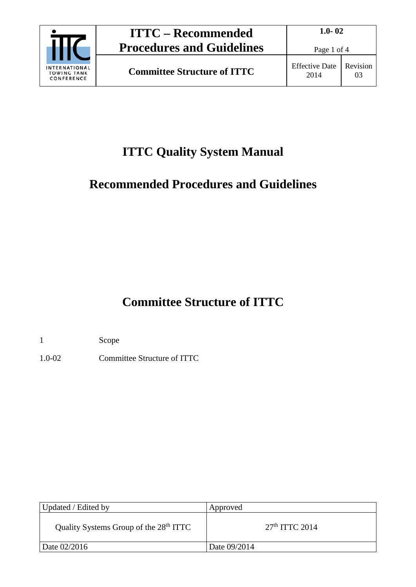

Page 1 of 4

### **ITTC Quality System Manual**

### **Recommended Procedures and Guidelines**

## **Committee Structure of ITTC**

1 Scope

1.0-02 Committee Structure of ITTC

| Updated / Edited by                                | Approved         |
|----------------------------------------------------|------------------|
| Quality Systems Group of the 28 <sup>th</sup> ITTC | $27th$ ITTC 2014 |
| Date 02/2016                                       | Date 09/2014     |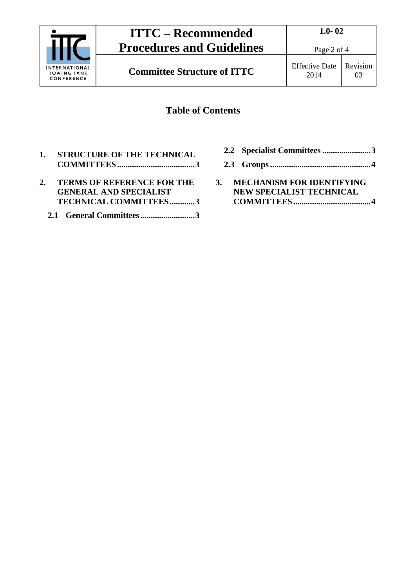

# **ITTC – Recommended Procedures and Guidelines**

Page 2 of 4

03

## **Committee Structure of ITTC** Effective Date

#### **Table of Contents**

- **1. [STRUCTURE OF THE TECHNICAL](#page-2-0)  COMMITTEES [.....................................3](#page-2-0)**
- **2. [TERMS OF REFERENCE FOR THE](#page-2-1)  [GENERAL AND SPECIALIST](#page-2-1)  [TECHNICAL COMMITTEES............3](#page-2-1)**
	- **2.1 [General Committees..........................3](#page-2-2)**
- **2.2 [Specialist Committees](#page-2-3) .......................3**
- **2.3 [Groups................................................4](#page-3-0)**
- **3. [MECHANISM FOR IDENTIFYING](#page-3-1)  [NEW SPECIALIST TECHNICAL](#page-3-1)  [COMMITTEES.....................................4](#page-3-1)**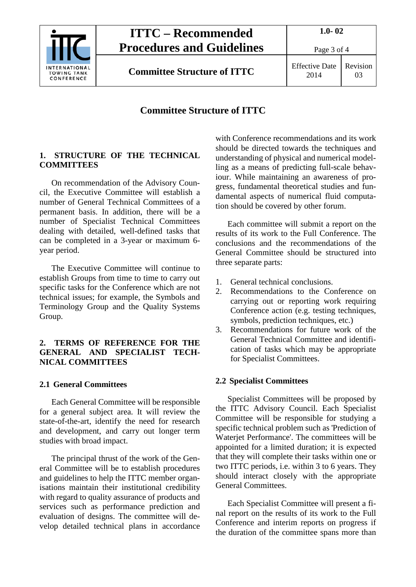

### **ITTC – Recommended Procedures and Guidelines**

Page 3 of 4

**Committee Structure of ITTC** Effective Date

#### **Committee Structure of ITTC**

#### <span id="page-2-0"></span>**1. STRUCTURE OF THE TECHNICAL COMMITTEES**

On recommendation of the Advisory Council, the Executive Committee will establish a number of General Technical Committees of a permanent basis. In addition, there will be a number of Specialist Technical Committees dealing with detailed, well-defined tasks that can be completed in a 3-year or maximum 6 year period.

The Executive Committee will continue to establish Groups from time to time to carry out specific tasks for the Conference which are not technical issues; for example, the Symbols and Terminology Group and the Quality Systems Group.

#### <span id="page-2-1"></span>**2. TERMS OF REFERENCE FOR THE GENERAL AND SPECIALIST TECH-NICAL COMMITTEES**

#### <span id="page-2-2"></span>**2.1 General Committees**

Each General Committee will be responsible for a general subject area. It will review the state-of-the-art, identify the need for research and development, and carry out longer term studies with broad impact.

The principal thrust of the work of the General Committee will be to establish procedures and guidelines to help the ITTC member organisations maintain their institutional credibility with regard to quality assurance of products and services such as performance prediction and evaluation of designs. The committee will develop detailed technical plans in accordance with Conference recommendations and its work should be directed towards the techniques and understanding of physical and numerical modelling as a means of predicting full-scale behaviour. While maintaining an awareness of progress, fundamental theoretical studies and fundamental aspects of numerical fluid computation should be covered by other forum.

Each committee will submit a report on the results of its work to the Full Conference. The conclusions and the recommendations of the General Committee should be structured into three separate parts:

- 1. General technical conclusions.
- 2. Recommendations to the Conference on carrying out or reporting work requiring Conference action (e.g. testing techniques, symbols, prediction techniques, etc.)
- 3. Recommendations for future work of the General Technical Committee and identification of tasks which may be appropriate for Specialist Committees.

#### <span id="page-2-3"></span>**2.2 Specialist Committees**

Specialist Committees will be proposed by the ITTC Advisory Council. Each Specialist Committee will be responsible for studying a specific technical problem such as 'Prediction of Waterjet Performance'. The committees will be appointed for a limited duration; it is expected that they will complete their tasks within one or two ITTC periods, i.e. within 3 to 6 years. They should interact closely with the appropriate General Committees.

Each Specialist Committee will present a final report on the results of its work to the Full Conference and interim reports on progress if the duration of the committee spans more than